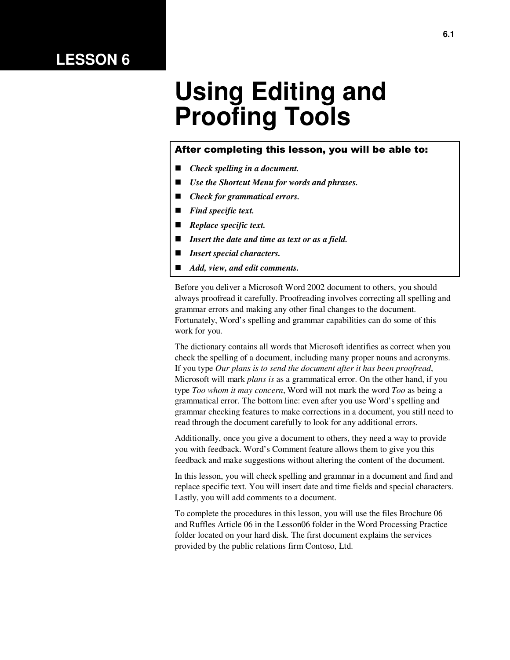### **LESSON 6**

# **Using Editing and Proofing Tools**

#### After completing this lesson, you will be able to:

- *Check spelling in a document.*
- *Use the Shortcut Menu for words and phrases.*
- *Check for grammatical errors.*
- *Find specific text.*
- *Replace specific text.*
- *Insert the date and time as text or as a field.*
- *Insert special characters.*
- *Add, view, and edit comments.*

Before you deliver a Microsoft Word 2002 document to others, you should always proofread it carefully. Proofreading involves correcting all spelling and grammar errors and making any other final changes to the document. Fortunately, Word's spelling and grammar capabilities can do some of this work for you.

The dictionary contains all words that Microsoft identifies as correct when you check the spelling of a document, including many proper nouns and acronyms. If you type *Our plans is to send the document after it has been proofread*, Microsoft will mark *plans is* as a grammatical error. On the other hand, if you type *Too whom it may concern*, Word will not mark the word *Too* as being a grammatical error. The bottom line: even after you use Word's spelling and grammar checking features to make corrections in a document, you still need to read through the document carefully to look for any additional errors.

Additionally, once you give a document to others, they need a way to provide you with feedback. Word's Comment feature allows them to give you this feedback and make suggestions without altering the content of the document.

In this lesson, you will check spelling and grammar in a document and find and replace specific text. You will insert date and time fields and special characters. Lastly, you will add comments to a document.

To complete the procedures in this lesson, you will use the files Brochure 06 and Ruffles Article 06 in the Lesson06 folder in the Word Processing Practice folder located on your hard disk. The first document explains the services provided by the public relations firm Contoso, Ltd.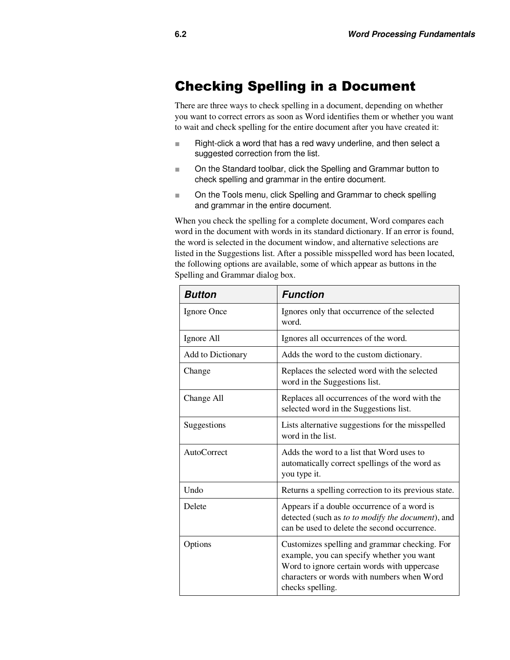### Checking Spelling in a Document

There are three ways to check spelling in a document, depending on whether you want to correct errors as soon as Word identifies them or whether you want to wait and check spelling for the entire document after you have created it:

- Right-click a word that has a red wavy underline, and then select a suggested correction from the list.
- On the Standard toolbar, click the Spelling and Grammar button to check spelling and grammar in the entire document.
- On the Tools menu, click Spelling and Grammar to check spelling and grammar in the entire document.

When you check the spelling for a complete document, Word compares each word in the document with words in its standard dictionary. If an error is found, the word is selected in the document window, and alternative selections are listed in the Suggestions list. After a possible misspelled word has been located, the following options are available, some of which appear as buttons in the Spelling and Grammar dialog box.

| <b>Button</b>      | <b>Function</b>                                                                                                                                                                                             |  |
|--------------------|-------------------------------------------------------------------------------------------------------------------------------------------------------------------------------------------------------------|--|
| Ignore Once        | Ignores only that occurrence of the selected<br>word.                                                                                                                                                       |  |
| Ignore All         | Ignores all occurrences of the word.                                                                                                                                                                        |  |
| Add to Dictionary  | Adds the word to the custom dictionary.                                                                                                                                                                     |  |
| Change             | Replaces the selected word with the selected<br>word in the Suggestions list.                                                                                                                               |  |
| Change All         | Replaces all occurrences of the word with the<br>selected word in the Suggestions list.                                                                                                                     |  |
| Suggestions        | Lists alternative suggestions for the misspelled<br>word in the list.                                                                                                                                       |  |
| <b>AutoCorrect</b> | Adds the word to a list that Word uses to<br>automatically correct spellings of the word as<br>you type it.                                                                                                 |  |
| Undo               | Returns a spelling correction to its previous state.                                                                                                                                                        |  |
| Delete             | Appears if a double occurrence of a word is<br>detected (such as to to modify the document), and<br>can be used to delete the second occurrence.                                                            |  |
| Options            | Customizes spelling and grammar checking. For<br>example, you can specify whether you want<br>Word to ignore certain words with uppercase<br>characters or words with numbers when Word<br>checks spelling. |  |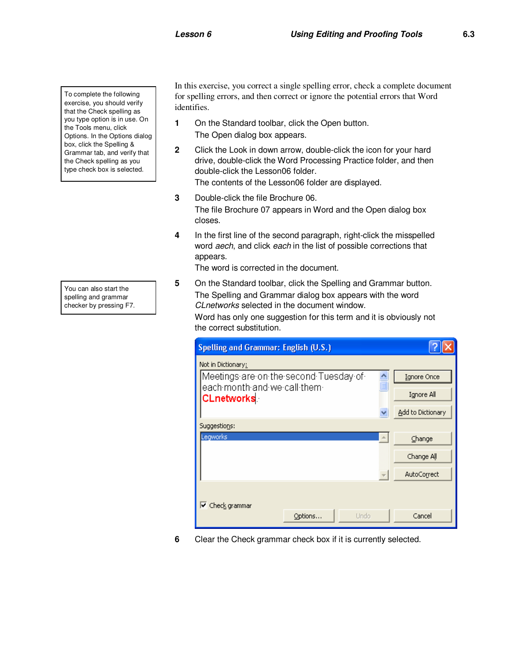To complete the following exercise, you should verify that the Check spelling as you type option is in use. On the Tools menu, click Options. In the Options dialog box, click the Spelling & Grammar tab, and verify that the Check spelling as you type check box is selected.

You can also start the spelling and grammar checker by pressing F7.

In this exercise, you correct a single spelling error, check a complete document for spelling errors, and then correct or ignore the potential errors that Word identifies.

- **1** On the Standard toolbar, click the Open button. The Open dialog box appears.
- **2** Click the Look in down arrow, double-click the icon for your hard drive, double-click the Word Processing Practice folder, and then double-click the Lesson06 folder.

The contents of the Lesson06 folder are displayed.

- **3** Double-click the file Brochure 06. The file Brochure 07 appears in Word and the Open dialog box closes.
- **4** In the first line of the second paragraph, right-click the misspelled word *aech*, and click each in the list of possible corrections that appears.

The word is corrected in the document.

**5** On the Standard toolbar, click the Spelling and Grammar button. The Spelling and Grammar dialog box appears with the word CLnetworks selected in the document window.

Word has only one suggestion for this term and it is obviously not the correct substitution.

| Spelling and Grammar: English (U.S.)              |                   |   |             |  |  |  |
|---------------------------------------------------|-------------------|---|-------------|--|--|--|
| Not in Dictionary:                                |                   |   |             |  |  |  |
| Meetings are on the second Tuesday of             |                   |   | Ignore Once |  |  |  |
| each month and we call them-<br><b>CLnetworks</b> |                   | ≣ | Ignore All  |  |  |  |
|                                                   | Add to Dictionary |   |             |  |  |  |
| Suggestions:                                      |                   |   |             |  |  |  |
| Legworks<br>A                                     |                   |   | ⊆hange      |  |  |  |
|                                                   |                   |   | Change All  |  |  |  |
|                                                   | AutoCorrect       |   |             |  |  |  |
| $\triangledown$ Check grammar                     |                   |   |             |  |  |  |
|                                                   | Undo<br>Options   |   | Cancel      |  |  |  |

**6** Clear the Check grammar check box if it is currently selected.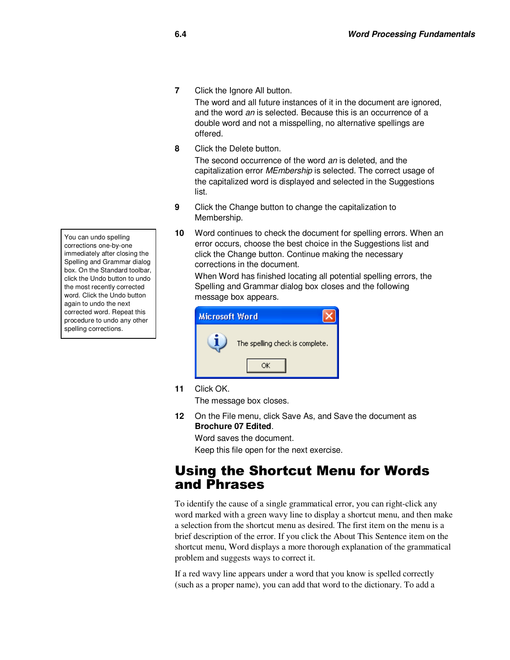**7** Click the Ignore All button.

The word and all future instances of it in the document are ignored, and the word an is selected. Because this is an occurrence of a double word and not a misspelling, no alternative spellings are offered.

**8** Click the Delete button.

The second occurrence of the word an is deleted, and the capitalization error MEmbership is selected. The correct usage of the capitalized word is displayed and selected in the Suggestions list.

- **9** Click the Change button to change the capitalization to Membership.
- **10** Word continues to check the document for spelling errors. When an error occurs, choose the best choice in the Suggestions list and click the Change button. Continue making the necessary corrections in the document.

When Word has finished locating all potential spelling errors, the Spelling and Grammar dialog box closes and the following message box appears.



**11** Click OK.

The message box closes.

**12** On the File menu, click Save As, and Save the document as **Brochure 07 Edited**.

Word saves the document. Keep this file open for the next exercise.

#### Using the Shortcut Menu for Words and Phrases

To identify the cause of a single grammatical error, you can right-click any word marked with a green wavy line to display a shortcut menu, and then make a selection from the shortcut menu as desired. The first item on the menu is a brief description of the error. If you click the About This Sentence item on the shortcut menu, Word displays a more thorough explanation of the grammatical problem and suggests ways to correct it.

If a red wavy line appears under a word that you know is spelled correctly (such as a proper name), you can add that word to the dictionary. To add a

You can undo spelling corrections one-by-one immediately after closing the Spelling and Grammar dialog box. On the Standard toolbar, click the Undo button to undo the most recently corrected word. Click the Undo button again to undo the next corrected word. Repeat this procedure to undo any other spelling corrections.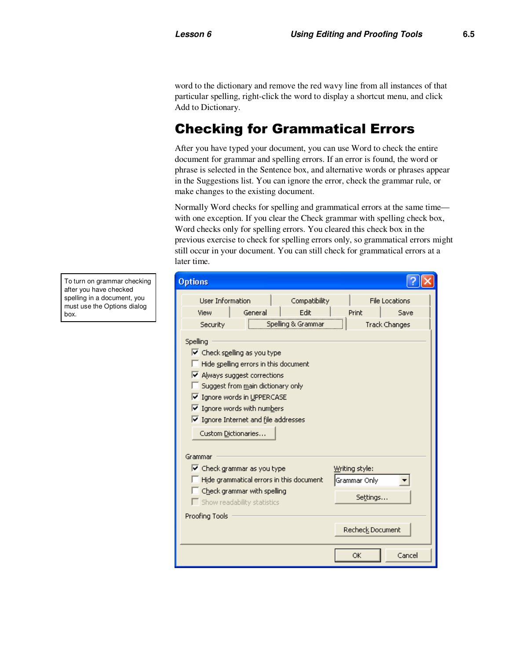word to the dictionary and remove the red wavy line from all instances of that particular spelling, right-click the word to display a shortcut menu, and click Add to Dictionary.

#### Checking for Grammatical Errors

After you have typed your document, you can use Word to check the entire document for grammar and spelling errors. If an error is found, the word or phrase is selected in the Sentence box, and alternative words or phrases appear in the Suggestions list. You can ignore the error, check the grammar rule, or make changes to the existing document.

Normally Word checks for spelling and grammatical errors at the same time with one exception. If you clear the Check grammar with spelling check box, Word checks only for spelling errors. You cleared this check box in the previous exercise to check for spelling errors only, so grammatical errors might still occur in your document. You can still check for grammatical errors at a later time.

To turn on grammar checking after you have checked spelling in a document, you must use the Options dialog box.

| <b>Options</b>                                                                                                                                                                                                                                                                                                                                                                                                              |       |                                                       |  |  |  |
|-----------------------------------------------------------------------------------------------------------------------------------------------------------------------------------------------------------------------------------------------------------------------------------------------------------------------------------------------------------------------------------------------------------------------------|-------|-------------------------------------------------------|--|--|--|
| <b>User Information</b><br>Compatibility<br>Edit<br>View<br>General<br>Spelling & Grammar<br>Security<br>Spelling<br>$\triangledown$ Check spelling as you type<br>Hide spelling errors in this document<br>Always suggest corrections<br>Suggest from main dictionary only<br><b>▽</b> Ignore words in UPPERCASE<br>Ignore words with numbers<br>$\triangledown$ Ignore Internet and file addresses<br>Custom Dictionaries | Print | <b>File Locations</b><br>Save<br><b>Track Changes</b> |  |  |  |
| Grammar<br>$\overline{\mathsf{v}}$ Check grammar as you type<br>Writing style:<br>Hide grammatical errors in this document<br>Grammar Only<br>Check grammar with spelling<br>Settings<br>Show readability statistics<br>Proofing Tools<br>Recheck Document                                                                                                                                                                  |       |                                                       |  |  |  |
|                                                                                                                                                                                                                                                                                                                                                                                                                             | OK    | Cancel                                                |  |  |  |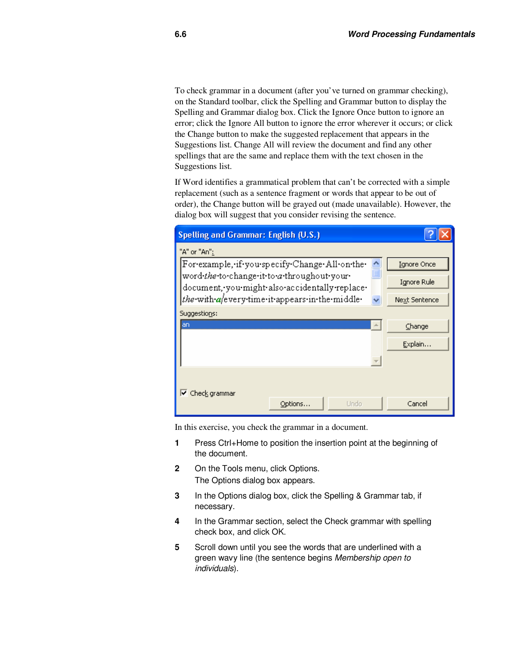To check grammar in a document (after you've turned on grammar checking), on the Standard toolbar, click the Spelling and Grammar button to display the Spelling and Grammar dialog box. Click the Ignore Once button to ignore an error; click the Ignore All button to ignore the error wherever it occurs; or click the Change button to make the suggested replacement that appears in the Suggestions list. Change All will review the document and find any other spellings that are the same and replace them with the text chosen in the Suggestions list.

If Word identifies a grammatical problem that can't be corrected with a simple replacement (such as a sentence fragment or words that appear to be out of order), the Change button will be grayed out (made unavailable). However, the dialog box will suggest that you consider revising the sentence.

| Spelling and Grammar: English (U.S.)                                                          |                    |
|-----------------------------------------------------------------------------------------------|--------------------|
| "A" or "An" <u>:</u>                                                                          |                    |
| For example, if you specify Change All on the                                                 | <b>Ignore Once</b> |
| word-the-to-change-it-to-a-throughout-your-<br>document, you might also accidentally replace. | <b>Ignore Rule</b> |
| the with a every time it appears in the middle                                                | Next Sentence      |
| Suggestions:                                                                                  |                    |
| an.<br>盀                                                                                      | Change             |
|                                                                                               | Explain            |
|                                                                                               |                    |
| l✔ Check grammar                                                                              |                    |
| Undo<br>Options                                                                               | Cancel             |

In this exercise, you check the grammar in a document.

- **1** Press Ctrl+Home to position the insertion point at the beginning of the document.
- **2** On the Tools menu, click Options. The Options dialog box appears.
- **3** In the Options dialog box, click the Spelling & Grammar tab, if necessary.
- **4** In the Grammar section, select the Check grammar with spelling check box, and click OK.
- **5** Scroll down until you see the words that are underlined with a green wavy line (the sentence begins Membership open to individuals).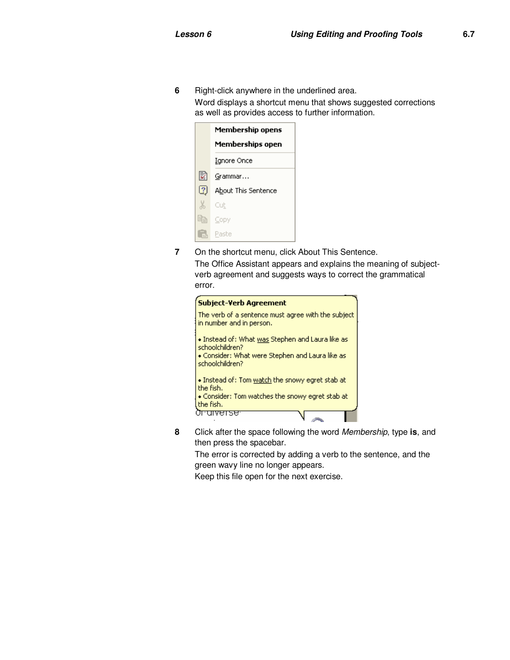**6** Right-click anywhere in the underlined area.

Word displays a shortcut menu that shows suggested corrections as well as provides access to further information.

|   | Membership opens    |  |  |
|---|---------------------|--|--|
|   | Memberships open    |  |  |
|   | Ignore Once         |  |  |
| ₹ | Grammar             |  |  |
| R | About This Sentence |  |  |
| 볾 | Cut                 |  |  |
| 驺 | Copy                |  |  |
| E | Paste               |  |  |

**7** On the shortcut menu, click About This Sentence. The Office Assistant appears and explains the meaning of subjectverb agreement and suggests ways to correct the grammatical error.

| Subject-Verb Agreement                                                           |
|----------------------------------------------------------------------------------|
| ] The verb of a sentence must agree with the subject<br>In number and in person. |
| $\bullet$ Instead of : What was Stephen and Laura like as<br>schoolchildren?     |
| Consider: What were Stephen and Laura like as (<br>schoolchildren?               |
| • Instead of: Tom <u>watch</u> the snowy egret stab at<br>l the fish.            |
| ∣ • Consider: Tom watches the snowy egret stab at<br>l the fish.                 |
|                                                                                  |

**8** Click after the space following the word Membership, type **is**, and then press the spacebar.

The error is corrected by adding a verb to the sentence, and the green wavy line no longer appears.

Keep this file open for the next exercise.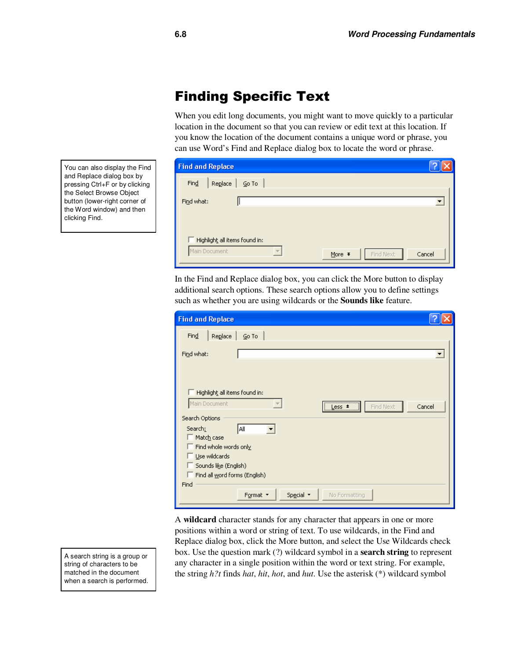### Finding Specific Text

When you edit long documents, you might want to move quickly to a particular location in the document so that you can review or edit text at this location. If you know the location of the document contains a unique word or phrase, you can use Word's Find and Replace dialog box to locate the word or phrase.

| <b>Find and Replace</b>       |                                            |
|-------------------------------|--------------------------------------------|
| Find<br>Replace<br>$Go$ To    |                                            |
| Find what:                    |                                            |
|                               |                                            |
| Highlight all items found in: |                                            |
| Main Document<br>÷            | Find Next<br>Cancel<br>More $\overline{*}$ |
|                               |                                            |

In the Find and Replace dialog box, you can click the More button to display additional search options. These search options allow you to define settings such as whether you are using wildcards or the **Sounds like** feature.

| <b>Find and Replace</b>                                                                         |
|-------------------------------------------------------------------------------------------------|
| Find<br>Replace<br>Go To                                                                        |
| Find what:                                                                                      |
| Highlight all items found in:<br>Main Document<br><br>Find Next<br>Cancel<br><u>__Less_*___</u> |
| Search Options<br> All<br>Search:                                                               |
| Match case                                                                                      |
| Find whole words only                                                                           |
| Use wildcards                                                                                   |
| Sounds like (English)                                                                           |
| Find all word forms (English)                                                                   |
| Find<br>Format *<br>Special *<br>No Formatting                                                  |

A **wildcard** character stands for any character that appears in one or more positions within a word or string of text. To use wildcards, in the Find and Replace dialog box, click the More button, and select the Use Wildcards check box. Use the question mark (?) wildcard symbol in a **search string** to represent any character in a single position within the word or text string. For example, the string *h?t* finds *hat*, *hit*, *hot*, and *hut*. Use the asterisk (\*) wildcard symbol

You can also display the Find and Replace dialog box by pressing Ctrl+F or by clicking the Select Browse Object button (lower-right corner of the Word window) and then clicking Find.

A search string is a group or string of characters to be matched in the document when a search is performed.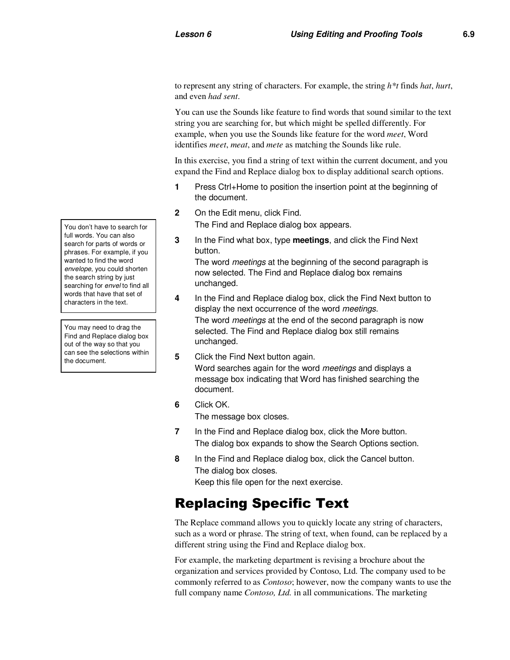to represent any string of characters. For example, the string *h\*t* finds *hat*, *hurt*, and even *had sent*.

You can use the Sounds like feature to find words that sound similar to the text string you are searching for, but which might be spelled differently. For example, when you use the Sounds like feature for the word *meet*, Word identifies *meet*, *meat*, and *mete* as matching the Sounds like rule.

In this exercise, you find a string of text within the current document, and you expand the Find and Replace dialog box to display additional search options.

- **1** Press Ctrl+Home to position the insertion point at the beginning of the document.
- **2** On the Edit menu, click Find. The Find and Replace dialog box appears.
- **3** In the Find what box, type **meetings**, and click the Find Next button.

The word *meetings* at the beginning of the second paragraph is now selected. The Find and Replace dialog box remains unchanged.

- **4** In the Find and Replace dialog box, click the Find Next button to display the next occurrence of the word meetings. The word meetings at the end of the second paragraph is now selected. The Find and Replace dialog box still remains unchanged.
- **5** Click the Find Next button again. Word searches again for the word *meetings* and displays a message box indicating that Word has finished searching the document.
- **6** Click OK.

The message box closes.

- **7** In the Find and Replace dialog box, click the More button. The dialog box expands to show the Search Options section.
- **8** In the Find and Replace dialog box, click the Cancel button. The dialog box closes. Keep this file open for the next exercise.

### Replacing Specific Text

The Replace command allows you to quickly locate any string of characters, such as a word or phrase. The string of text, when found, can be replaced by a different string using the Find and Replace dialog box.

For example, the marketing department is revising a brochure about the organization and services provided by Contoso, Ltd. The company used to be commonly referred to as *Contoso*; however, now the company wants to use the full company name *Contoso, Ltd.* in all communications. The marketing

You don't have to search for full words. You can also search for parts of words or phrases. For example, if you wanted to find the word envelope, you could shorten the search string by just searching for envel to find all words that have that set of characters in the text.

You may need to drag the Find and Replace dialog box out of the way so that you can see the selections within the document.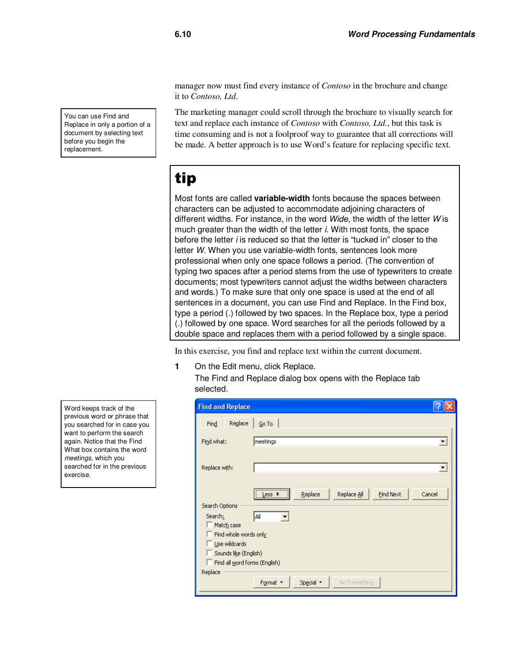You can use Find and Replace in only a portion of a document by selecting text before you begin the replacement.

manager now must find every instance of *Contoso* in the brochure and change it to *Contoso, Ltd*.

The marketing manager could scroll through the brochure to visually search for text and replace each instance of *Contoso* with *Contoso, Ltd.*, but this task is time consuming and is not a foolproof way to guarantee that all corrections will be made. A better approach is to use Word's feature for replacing specific text.

## tip

Most fonts are called **variable-width** fonts because the spaces between characters can be adjusted to accommodate adjoining characters of different widths. For instance, in the word Wide, the width of the letter Wis much greater than the width of the letter *i*. With most fonts, the space before the letter i is reduced so that the letter is "tucked in" closer to the letter W. When you use variable-width fonts, sentences look more professional when only one space follows a period. (The convention of typing two spaces after a period stems from the use of typewriters to create documents; most typewriters cannot adjust the widths between characters and words.) To make sure that only one space is used at the end of all sentences in a document, you can use Find and Replace. In the Find box, type a period (.) followed by two spaces. In the Replace box, type a period (.) followed by one space. Word searches for all the periods followed by a double space and replaces them with a period followed by a single space.

In this exercise, you find and replace text within the current document.

**1** On the Edit menu, click Replace.

The Find and Replace dialog box opens with the Replace tab selected.

| <b>Find and Replace</b>                |                                                                  |                          |
|----------------------------------------|------------------------------------------------------------------|--------------------------|
| Reglace<br>Find                        | Go To                                                            |                          |
| Find what:                             | meetings                                                         | $\overline{\phantom{a}}$ |
|                                        |                                                                  |                          |
| Replace with:                          |                                                                  |                          |
|                                        | <br>Replace<br>Replace All<br><b>Find Next</b><br><u>.ess * </u> | Cancel                   |
| Search Options                         |                                                                  |                          |
| Search:<br>Match case                  | aii                                                              |                          |
| Find whole words only                  |                                                                  |                          |
| Use wildcards<br>Sounds like (English) |                                                                  |                          |
| Find all word forms (English)          |                                                                  |                          |
| Replace                                |                                                                  |                          |
|                                        | Format *<br>Special *<br>No Formatting                           |                          |

Word keeps track of the previous word or phrase that you searched for in case you want to perform the search again. Notice that the Find What box contains the word meetings, which you searched for in the previous exercise.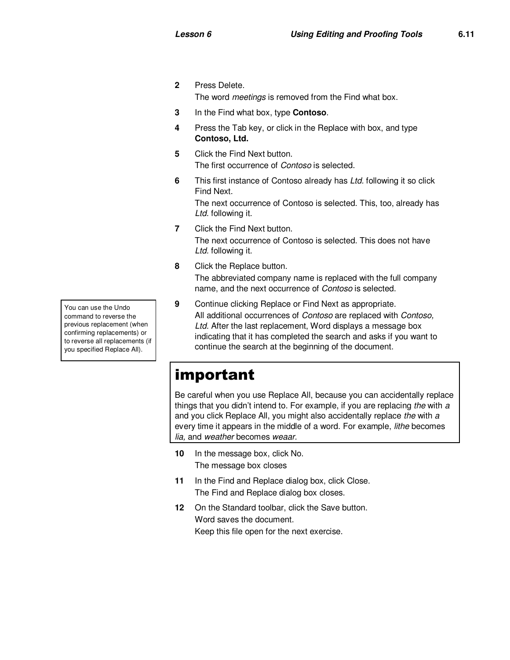**2** Press Delete.

The word *meetings* is removed from the Find what box.

- **3** In the Find what box, type **Contoso**.
- **4** Press the Tab key, or click in the Replace with box, and type **Contoso, Ltd.**
- **5** Click the Find Next button. The first occurrence of *Contoso* is selected.
- **6** This first instance of Contoso already has Ltd. following it so click Find Next.

The next occurrence of Contoso is selected. This, too, already has Ltd. following it.

- **7** Click the Find Next button. The next occurrence of Contoso is selected. This does not have Ltd. following it.
- **8** Click the Replace button. The abbreviated company name is replaced with the full company name, and the next occurrence of Contoso is selected.
- **9** Continue clicking Replace or Find Next as appropriate. All additional occurrences of Contoso are replaced with Contoso, Ltd. After the last replacement, Word displays a message box indicating that it has completed the search and asks if you want to continue the search at the beginning of the document.

### important

Be careful when you use Replace All, because you can accidentally replace things that you didn't intend to. For example, if you are replacing the with a and you click Replace All, you might also accidentally replace the with a every time it appears in the middle of a word. For example, lithe becomes lia, and weather becomes weaar.

- **10** In the message box, click No. The message box closes
- **11** In the Find and Replace dialog box, click Close. The Find and Replace dialog box closes.
- **12** On the Standard toolbar, click the Save button. Word saves the document. Keep this file open for the next exercise.

You can use the Undo command to reverse the previous replacement (when confirming replacements) or to reverse all replacements (if you specified Replace All).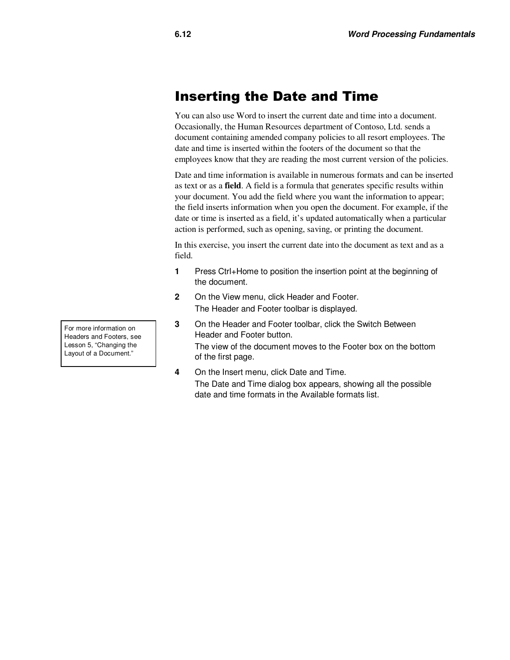### Inserting the Date and Time

You can also use Word to insert the current date and time into a document. Occasionally, the Human Resources department of Contoso, Ltd. sends a document containing amended company policies to all resort employees. The date and time is inserted within the footers of the document so that the employees know that they are reading the most current version of the policies.

Date and time information is available in numerous formats and can be inserted as text or as a **field**. A field is a formula that generates specific results within your document. You add the field where you want the information to appear; the field inserts information when you open the document. For example, if the date or time is inserted as a field, it's updated automatically when a particular action is performed, such as opening, saving, or printing the document.

In this exercise, you insert the current date into the document as text and as a field.

- **1** Press Ctrl+Home to position the insertion point at the beginning of the document.
- **2** On the View menu, click Header and Footer. The Header and Footer toolbar is displayed.
- **3** On the Header and Footer toolbar, click the Switch Between Header and Footer button. The view of the document moves to the Footer box on the bottom of the first page.
- **4** On the Insert menu, click Date and Time. The Date and Time dialog box appears, showing all the possible date and time formats in the Available formats list.

For more information on Headers and Footers, see Lesson 5, "Changing the Layout of a Document."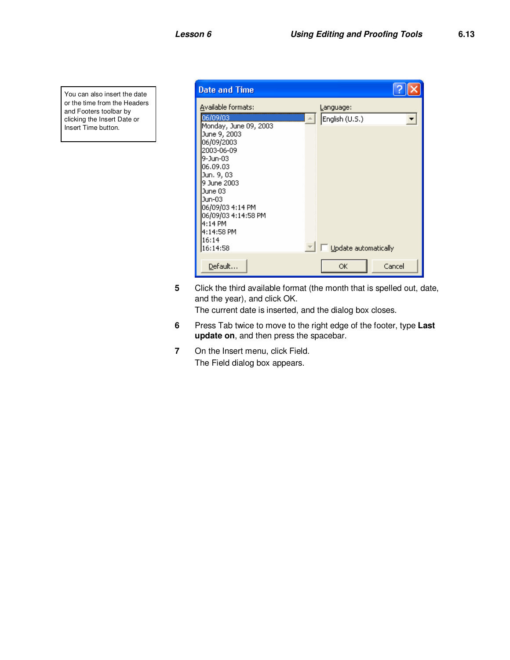You can also insert the date or the time from the Headers and Footers toolbar by clicking the Insert Date or Insert Time button.

| <b>Date and Time</b>                                                                                                                                                                                                                                                   |                                                             |
|------------------------------------------------------------------------------------------------------------------------------------------------------------------------------------------------------------------------------------------------------------------------|-------------------------------------------------------------|
| Available formats:<br>06/09/03<br>Monday, June 09, 2003<br>June 9, 2003<br>06/09/2003<br>2003-06-09<br>9-Jun-03<br>06.09.03<br>Jun. 9, 03<br>9 June 2003<br>June 03<br>Jun-03<br>06/09/03 4:14 PM<br>06/09/03 4:14:58 PM<br>4:14 PM<br>4:14:58 PM<br>16:14<br>16:14:58 | <u>L</u> anguage:<br>English (U.S.)<br>Update automatically |
| Default                                                                                                                                                                                                                                                                | Cancel<br>ОK                                                |

**5** Click the third available format (the month that is spelled out, date, and the year), and click OK.

The current date is inserted, and the dialog box closes.

- **6** Press Tab twice to move to the right edge of the footer, type **Last update on**, and then press the spacebar.
- **7** On the Insert menu, click Field. The Field dialog box appears.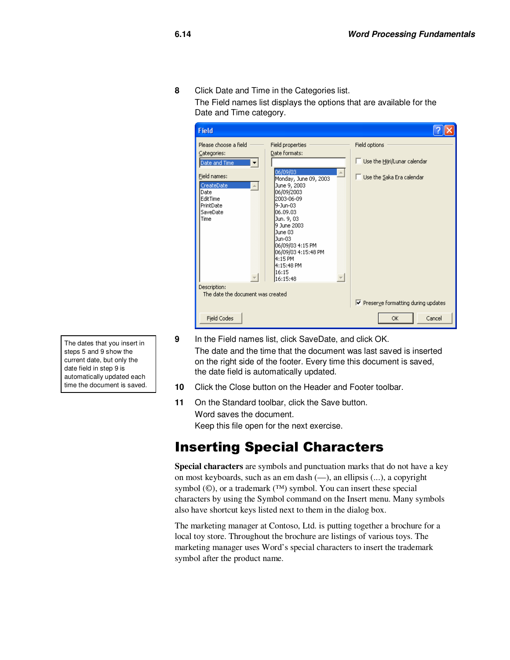**8** Click Date and Time in the Categories list. The Field names list displays the options that are available for the Date and Time category.

| <b>Field</b>                                                                                                                                                             |                                                                                                                                                                                                                                                                                              |                                                                            |
|--------------------------------------------------------------------------------------------------------------------------------------------------------------------------|----------------------------------------------------------------------------------------------------------------------------------------------------------------------------------------------------------------------------------------------------------------------------------------------|----------------------------------------------------------------------------|
| Please choose a field<br>Categories:<br>Date and Time<br>▼<br>Field names:<br>CreateDate<br>$\blacktriangle$<br>Date<br>EditTime<br>PrintDate<br><b>SaveDate</b><br>Time | Field properties<br>Date formats:<br>06/09/03<br>人<br>Monday, June 09, 2003<br>June 9, 2003<br>06/09/2003<br>2003-06-09<br>9-Jun-03<br>06.09.03<br>Jun. 9, 03<br>9 June 2003<br>June 03<br>$Jun-03$<br>06/09/03 4:15 PM<br>06/09/03 4:15:48 PM<br>4:15 PM<br>4:15:48 PM<br>16:15<br>16:15:48 | Field options<br>Use the Hijri/Lunar calendar<br>Use the Saka Era calendar |
| Description:<br>The date the document was created                                                                                                                        |                                                                                                                                                                                                                                                                                              | $\triangledown$ Preserve formatting during updates                         |
| <b>Field Codes</b>                                                                                                                                                       |                                                                                                                                                                                                                                                                                              | Cancel<br>OK                                                               |

The dates that you insert in steps 5 and 9 show the current date, but only the date field in step 9 is automatically updated each time the document is saved.

- **9** In the Field names list, click SaveDate, and click OK. The date and the time that the document was last saved is inserted on the right side of the footer. Every time this document is saved, the date field is automatically updated.
- **10** Click the Close button on the Header and Footer toolbar.
- **11** On the Standard toolbar, click the Save button. Word saves the document. Keep this file open for the next exercise.

### Inserting Special Characters

**Special characters** are symbols and punctuation marks that do not have a key on most keyboards, such as an em dash (—), an ellipsis (...), a copyright symbol (©), or a trademark (™) symbol. You can insert these special characters by using the Symbol command on the Insert menu. Many symbols also have shortcut keys listed next to them in the dialog box.

The marketing manager at Contoso, Ltd. is putting together a brochure for a local toy store. Throughout the brochure are listings of various toys. The marketing manager uses Word's special characters to insert the trademark symbol after the product name.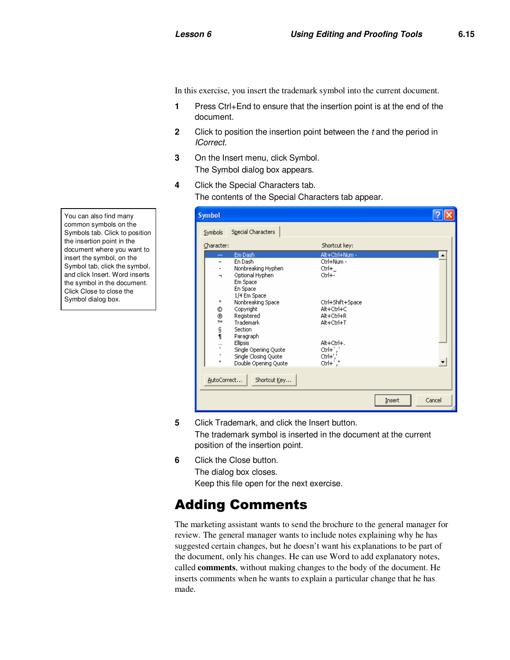In this exercise, you insert the trademark symbol into the current document.

- **1** Press Ctrl+End to ensure that the insertion point is at the end of the document.
- **2** Click to position the insertion point between the t and the period in ICorrect.
- **3** On the Insert menu, click Symbol. The Symbol dialog box appears.
- **4** Click the Special Characters tab. The contents of the Special Characters tab appear.

| Symbol      |                         |                          |        |        |
|-------------|-------------------------|--------------------------|--------|--------|
| Symbols     | Special Characters      |                          |        |        |
| Character:  |                         | Shortcut key:            |        |        |
|             | Em Dash                 | Alt+Ctrl+Num -           |        |        |
|             | En Dash                 | Ctrl+Num -               |        |        |
|             | Nonbreaking Hyphen      | Ctrl+                    |        |        |
| h           | Optional Hyphen         | Ctrl+-                   |        |        |
|             | Em Space                |                          |        |        |
|             | En Space                |                          |        |        |
|             | 1/4 Em Space            |                          |        |        |
| ۰           | Nonbreaking Space       | Ctrl+Shift+Space         |        |        |
| ©           | Copyright               | Alt+Ctrl+C<br>Alt+Ctrl+R |        |        |
| ®<br>TM     | Registered<br>Trademark | Alt+Ctrl+T               |        |        |
|             | Section                 |                          |        |        |
| s<br>¶      | Paragraph               |                          |        |        |
|             | Ellipsis                | Alt+Ctrl+.               |        |        |
| ×.          | Single Opening Quote    | Ctrl+`,`                 |        |        |
| ×           | Single Closing Quote    | Ctrl+','                 |        |        |
| u,          | Double Opening Quote    | $Ctrl + \frac{1}{2}$     |        |        |
|             |                         |                          |        |        |
| AutoCorrect | Shortcut Key            |                          |        |        |
|             |                         |                          |        |        |
|             |                         |                          |        |        |
|             |                         |                          | Insert | Cancel |
|             |                         |                          |        |        |

- **5** Click Trademark, and click the Insert button. The trademark symbol is inserted in the document at the current position of the insertion point.
- **6** Click the Close button.

The dialog box closes.

Keep this file open for the next exercise.

### Adding Comments

The marketing assistant wants to send the brochure to the general manager for review. The general manager wants to include notes explaining why he has suggested certain changes, but he doesn't want his explanations to be part of the document, only his changes. He can use Word to add explanatory notes, called **comments**, without making changes to the body of the document. He inserts comments when he wants to explain a particular change that he has made.

You can also find many common symbols on the Symbols tab. Click to position the insertion point in the document where you want to insert the symbol, on the Symbol tab, click the symbol, and click Insert. Word inserts the symbol in the document. Click Close to close the Symbol dialog box.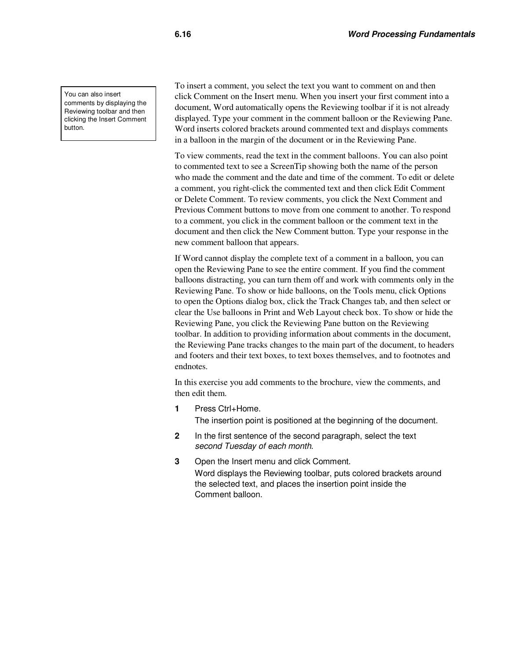You can also insert comments by displaying the Reviewing toolbar and then clicking the Insert Comment button.

To insert a comment, you select the text you want to comment on and then click Comment on the Insert menu. When you insert your first comment into a document, Word automatically opens the Reviewing toolbar if it is not already displayed. Type your comment in the comment balloon or the Reviewing Pane. Word inserts colored brackets around commented text and displays comments in a balloon in the margin of the document or in the Reviewing Pane.

To view comments, read the text in the comment balloons. You can also point to commented text to see a ScreenTip showing both the name of the person who made the comment and the date and time of the comment. To edit or delete a comment, you right-click the commented text and then click Edit Comment or Delete Comment. To review comments, you click the Next Comment and Previous Comment buttons to move from one comment to another. To respond to a comment, you click in the comment balloon or the comment text in the document and then click the New Comment button. Type your response in the new comment balloon that appears.

If Word cannot display the complete text of a comment in a balloon, you can open the Reviewing Pane to see the entire comment. If you find the comment balloons distracting, you can turn them off and work with comments only in the Reviewing Pane. To show or hide balloons, on the Tools menu, click Options to open the Options dialog box, click the Track Changes tab, and then select or clear the Use balloons in Print and Web Layout check box. To show or hide the Reviewing Pane, you click the Reviewing Pane button on the Reviewing toolbar. In addition to providing information about comments in the document, the Reviewing Pane tracks changes to the main part of the document, to headers and footers and their text boxes, to text boxes themselves, and to footnotes and endnotes.

In this exercise you add comments to the brochure, view the comments, and then edit them.

- **1** Press Ctrl+Home. The insertion point is positioned at the beginning of the document.
- **2** In the first sentence of the second paragraph, select the text second Tuesday of each month.
- **3** Open the Insert menu and click Comment. Word displays the Reviewing toolbar, puts colored brackets around the selected text, and places the insertion point inside the Comment balloon.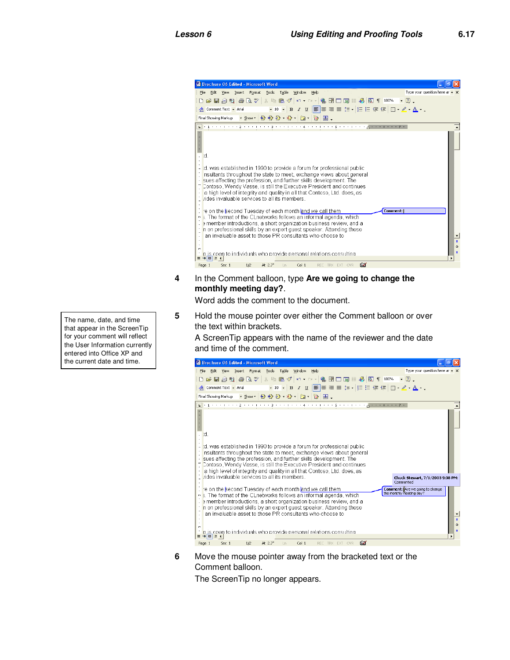

**4** In the Comment balloon, type **Are we going to change the monthly meeting day?**.

Word adds the comment to the document.

**5** Hold the mouse pointer over either the Comment balloon or over the text within brackets.

A ScreenTip appears with the name of the reviewer and the date and time of the comment.



**6** Move the mouse pointer away from the bracketed text or the Comment balloon.

The ScreenTip no longer appears.

The name, date, and time that appear in the ScreenTip for your comment will reflect the User Information currently entered into Office XP and the current date and time.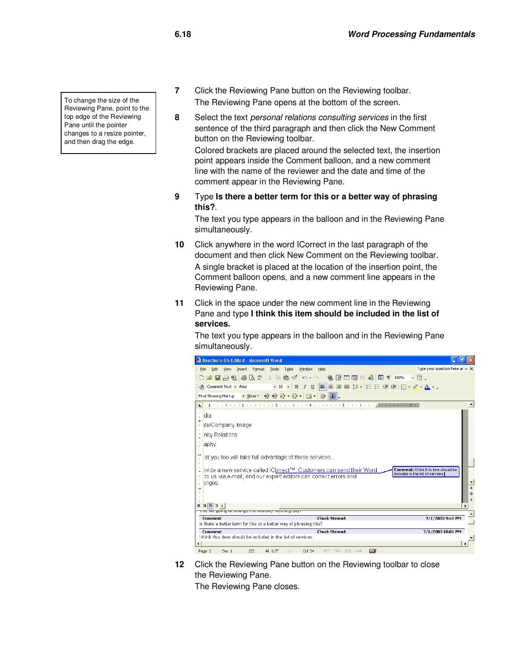To change the size of the Reviewing Pane, point to the top edge of the Reviewing Pane until the pointer changes to a resize pointer, and then drag the edge.

- **7** Click the Reviewing Pane button on the Reviewing toolbar. The Reviewing Pane opens at the bottom of the screen.
- **8** Select the text personal relations consulting services in the first sentence of the third paragraph and then click the New Comment button on the Reviewing toolbar.

Colored brackets are placed around the selected text, the insertion point appears inside the Comment balloon, and a new comment line with the name of the reviewer and the date and time of the comment appear in the Reviewing Pane.

**9** Type **Is there a better term for this or a better way of phrasing this?**.

The text you type appears in the balloon and in the Reviewing Pane simultaneously.

- **10** Click anywhere in the word ICorrect in the last paragraph of the document and then click New Comment on the Reviewing toolbar. A single bracket is placed at the location of the insertion point, the Comment balloon opens, and a new comment line appears in the Reviewing Pane.
- **11** Click in the space under the new comment line in the Reviewing Pane and type **I think this item should be included in the list of services.**

The text you type appears in the balloon and in the Reviewing Pane simultaneously.

| <b>Brochure 06 Edited - Microsoft Word</b>                                                                                                       |              |
|--------------------------------------------------------------------------------------------------------------------------------------------------|--------------|
| Type your question here ar $\sim$ X<br>Tools<br>Table Window<br>Edit<br>View Insert Format<br>Help<br><b>File</b>                                |              |
| <del>P B B &amp;</del> & & \ X & & <   × ~ -   & B E R   # \$   & ¶ 100%   • 2 •                                                                 |              |
|                                                                                                                                                  |              |
| Final Showing Markup   マ show   母 母 ワ - ゐ - 御 - 簡   国                                                                                            |              |
|                                                                                                                                                  |              |
| dia<br>L.                                                                                                                                        |              |
| te/Company Image                                                                                                                                 |              |
| nity Relations                                                                                                                                   |              |
| aphy                                                                                                                                             |              |
|                                                                                                                                                  |              |
| at you too will take full advantage of these services.                                                                                           |              |
| bvide a new service called ICprrect™. Customers can send their Word<br>Comment: I think this item should be<br>included in the list of services. |              |
| to us via e-mail, and our expert editors can correct errors and                                                                                  |              |
| anges.                                                                                                                                           |              |
|                                                                                                                                                  | $\circ$<br>z |
| $\equiv$ 5 $\equiv$ 3 4                                                                                                                          |              |
| i vo wo going to onungo the monthly mooting augu                                                                                                 |              |
| Comment<br><b>Chuck Stewart</b><br>7/1/2003 9:41 PM<br>Is there a better term for this or a better way of phrasing this?                         |              |
| 7/1/2003 10:01 PM<br><b>Chuck Stewart</b><br><b>Comment</b>                                                                                      |              |
| I think this item should be included in the list of services.                                                                                    |              |
| <b>DX</b><br>At 6.5"<br>Col <sub>34</sub><br>2/2<br>REC TRK EXT OVR<br>Page 2<br>Sec 1<br>Ln                                                     |              |
|                                                                                                                                                  |              |

**12** Click the Reviewing Pane button on the Reviewing toolbar to close the Reviewing Pane.

The Reviewing Pane closes.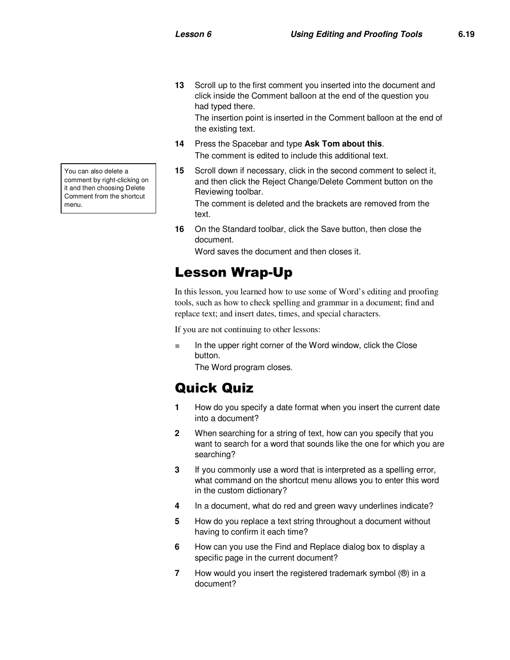**13** Scroll up to the first comment you inserted into the document and click inside the Comment balloon at the end of the question you had typed there.

The insertion point is inserted in the Comment balloon at the end of the existing text.

- **14** Press the Spacebar and type **Ask Tom about this**. The comment is edited to include this additional text.
- **15** Scroll down if necessary, click in the second comment to select it, and then click the Reject Change/Delete Comment button on the Reviewing toolbar.

The comment is deleted and the brackets are removed from the text.

**16** On the Standard toolbar, click the Save button, then close the document.

Word saves the document and then closes it.

### Lesson Wrap-Up

In this lesson, you learned how to use some of Word's editing and proofing tools, such as how to check spelling and grammar in a document; find and replace text; and insert dates, times, and special characters.

If you are not continuing to other lessons:

In the upper right corner of the Word window, click the Close button.

The Word program closes.

### Quick Quiz

- **1** How do you specify a date format when you insert the current date into a document?
- **2** When searching for a string of text, how can you specify that you want to search for a word that sounds like the one for which you are searching?
- **3** If you commonly use a word that is interpreted as a spelling error, what command on the shortcut menu allows you to enter this word in the custom dictionary?
- **4** In a document, what do red and green wavy underlines indicate?
- **5** How do you replace a text string throughout a document without having to confirm it each time?
- **6** How can you use the Find and Replace dialog box to display a specific page in the current document?
- **7** How would you insert the registered trademark symbol (®) in a document?

You can also delete a comment by right-clicking on it and then choosing Delete Comment from the shortcut menu.